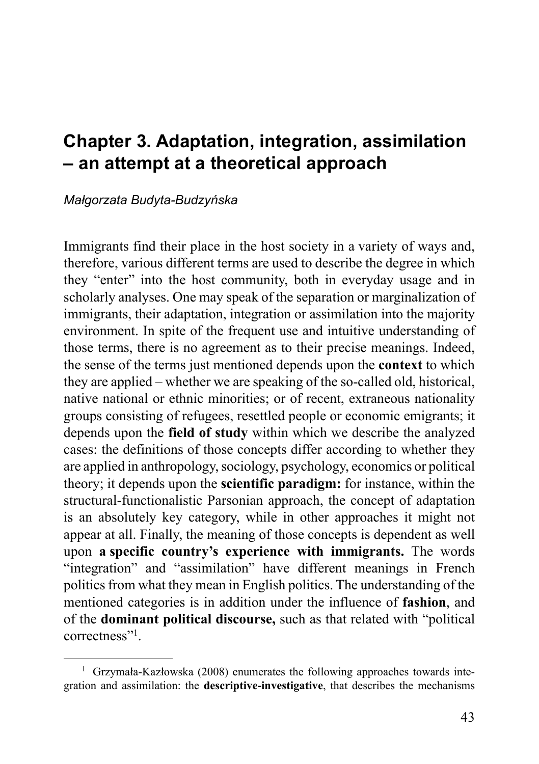# **Chapter 3. Adaptation, integration, assimilation – an attempt at a theoretical approach**

#### *Małgorzata Budyta-Budzyńska*

Immigrants find their place in the host society in a variety of ways and, therefore, various different terms are used to describe the degree in which they "enter" into the host community, both in everyday usage and in scholarly analyses. One may speak of the separation or marginalization of immigrants, their adaptation, integration or assimilation into the majority environment. In spite of the frequent use and intuitive understanding of those terms, there is no agreement as to their precise meanings. Indeed, the sense of the terms just mentioned depends upon the **context** to which they are applied – whether we are speaking of the so-called old, historical, native national or ethnic minorities; or of recent, extraneous nationality groups consisting of refugees, resettled people or economic emigrants; it depends upon the **field of study** within which we describe the analyzed cases: the definitions of those concepts differ according to whether they are applied in anthropology, sociology, psychology, economics or political theory; it depends upon the **scientific paradigm:** for instance, within the structural-functionalistic Parsonian approach, the concept of adaptation is an absolutely key category, while in other approaches it might not appear at all. Finally, the meaning of those concepts is dependent as well upon **a specific country's experience with immigrants.** The words "integration" and "assimilation" have different meanings in French politics from what they mean in English politics. The understanding of the mentioned categories is in addition under the influence of **fashion**, and of the **dominant political discourse,** such as that related with "political correctness"1 .

<sup>&</sup>lt;sup>1</sup> Grzymała-Kazłowska (2008) enumerates the following approaches towards integration and assimilation: the **descriptive-investigative**, that describes the mechanisms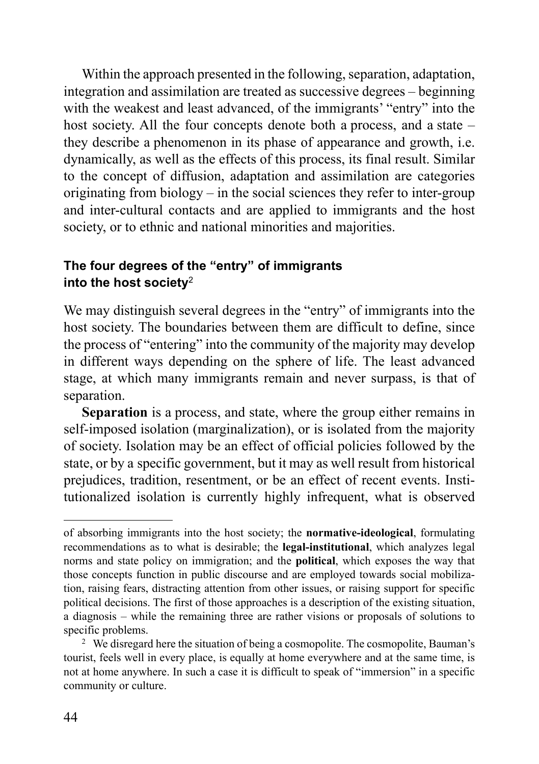Within the approach presented in the following, separation, adaptation, integration and assimilation are treated as successive degrees – beginning with the weakest and least advanced, of the immigrants' "entry" into the host society. All the four concepts denote both a process, and a state – they describe a phenomenon in its phase of appearance and growth, i.e. dynamically, as well as the effects of this process, its final result. Similar to the concept of diffusion, adaptation and assimilation are categories originating from biology – in the social sciences they refer to inter-group and inter-cultural contacts and are applied to immigrants and the host society, or to ethnic and national minorities and majorities.

# **The four degrees of the "entry" of immigrants into the host society**<sup>2</sup>

We may distinguish several degrees in the "entry" of immigrants into the host society. The boundaries between them are difficult to define, since the process of "entering" into the community of the majority may develop in different ways depending on the sphere of life. The least advanced stage, at which many immigrants remain and never surpass, is that of separation.

**Separation** is a process, and state, where the group either remains in self-imposed isolation (marginalization), or is isolated from the majority of society. Isolation may be an effect of official policies followed by the state, or by a specific government, but it may as well result from historical prejudices, tradition, resentment, or be an effect of recent events. Institutionalized isolation is currently highly infrequent, what is observed

of absorbing immigrants into the host society; the **normative-ideological**, formulating recommendations as to what is desirable; the **legal-institutional**, which analyzes legal norms and state policy on immigration; and the **political**, which exposes the way that those concepts function in public discourse and are employed towards social mobilization, raising fears, distracting attention from other issues, or raising support for specific political decisions. The first of those approaches is a description of the existing situation, a diagnosis – while the remaining three are rather visions or proposals of solutions to specific problems.

<sup>&</sup>lt;sup>2</sup> We disregard here the situation of being a cosmopolite. The cosmopolite, Bauman's tourist, feels well in every place, is equally at home everywhere and at the same time, is not at home anywhere. In such a case it is difficult to speak of "immersion" in a specific community or culture.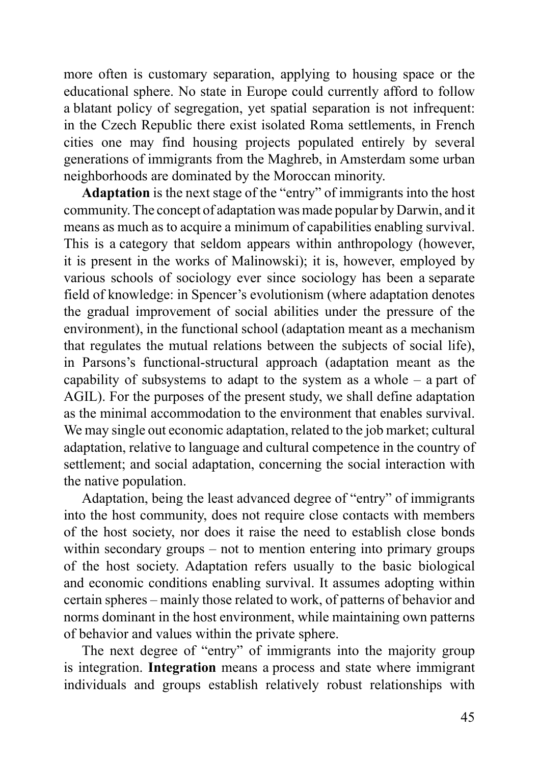more often is customary separation, applying to housing space or the educational sphere. No state in Europe could currently afford to follow a blatant policy of segregation, yet spatial separation is not infrequent: in the Czech Republic there exist isolated Roma settlements, in French cities one may find housing projects populated entirely by several generations of immigrants from the Maghreb, in Amsterdam some urban neighborhoods are dominated by the Moroccan minority.

**Adaptation** is the next stage of the "entry" of immigrants into the host community. The concept of adaptation was made popular by Darwin, and it means as much as to acquire a minimum of capabilities enabling survival. This is a category that seldom appears within anthropology (however, it is present in the works of Malinowski); it is, however, employed by various schools of sociology ever since sociology has been a separate field of knowledge: in Spencer's evolutionism (where adaptation denotes the gradual improvement of social abilities under the pressure of the environment), in the functional school (adaptation meant as a mechanism that regulates the mutual relations between the subjects of social life), in Parsons's functional-structural approach (adaptation meant as the capability of subsystems to adapt to the system as a whole – a part of AGIL). For the purposes of the present study, we shall define adaptation as the minimal accommodation to the environment that enables survival. We may single out economic adaptation, related to the job market; cultural adaptation, relative to language and cultural competence in the country of settlement; and social adaptation, concerning the social interaction with the native population.

Adaptation, being the least advanced degree of "entry" of immigrants into the host community, does not require close contacts with members of the host society, nor does it raise the need to establish close bonds within secondary groups – not to mention entering into primary groups of the host society. Adaptation refers usually to the basic biological and economic conditions enabling survival. It assumes adopting within certain spheres – mainly those related to work, of patterns of behavior and norms dominant in the host environment, while maintaining own patterns of behavior and values within the private sphere.

The next degree of "entry" of immigrants into the majority group is integration. **Integration** means a process and state where immigrant individuals and groups establish relatively robust relationships with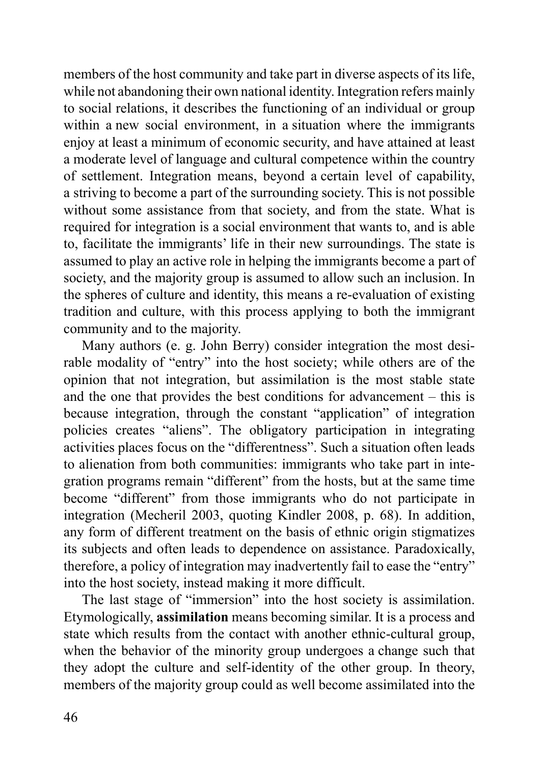members of the host community and take part in diverse aspects of its life, while not abandoning their own national identity. Integration refers mainly to social relations, it describes the functioning of an individual or group within a new social environment, in a situation where the immigrants enjoy at least a minimum of economic security, and have attained at least a moderate level of language and cultural competence within the country of settlement. Integration means, beyond a certain level of capability, a striving to become a part of the surrounding society. This is not possible without some assistance from that society, and from the state. What is required for integration is a social environment that wants to, and is able to, facilitate the immigrants' life in their new surroundings. The state is assumed to play an active role in helping the immigrants become a part of society, and the majority group is assumed to allow such an inclusion. In the spheres of culture and identity, this means a re-evaluation of existing tradition and culture, with this process applying to both the immigrant community and to the majority.

Many authors (e. g. John Berry) consider integration the most desirable modality of "entry" into the host society; while others are of the opinion that not integration, but assimilation is the most stable state and the one that provides the best conditions for advancement – this is because integration, through the constant "application" of integration policies creates "aliens". The obligatory participation in integrating activities places focus on the "differentness". Such a situation often leads to alienation from both communities: immigrants who take part in integration programs remain "different" from the hosts, but at the same time become "different" from those immigrants who do not participate in integration (Mecheril 2003, quoting Kindler 2008, p. 68). In addition, any form of different treatment on the basis of ethnic origin stigmatizes its subjects and often leads to dependence on assistance. Paradoxically, therefore, a policy of integration may inadvertently fail to ease the "entry" into the host society, instead making it more difficult.

The last stage of "immersion" into the host society is assimilation. Etymologically, **assimilation** means becoming similar. It is a process and state which results from the contact with another ethnic-cultural group, when the behavior of the minority group undergoes a change such that they adopt the culture and self-identity of the other group. In theory, members of the majority group could as well become assimilated into the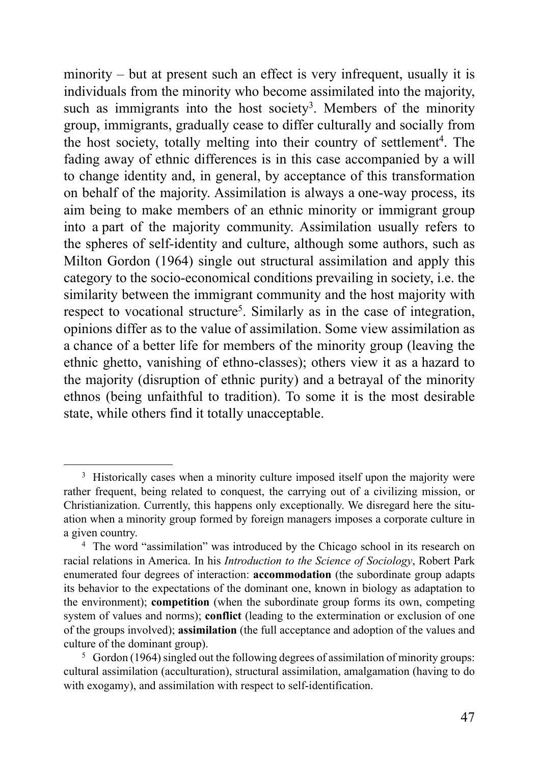minority – but at present such an effect is very infrequent, usually it is individuals from the minority who become assimilated into the majority, such as immigrants into the host society<sup>3</sup>. Members of the minority group, immigrants, gradually cease to differ culturally and socially from the host society, totally melting into their country of settlement<sup>4</sup>. The fading away of ethnic differences is in this case accompanied by a will to change identity and, in general, by acceptance of this transformation on behalf of the majority. Assimilation is always a one-way process, its aim being to make members of an ethnic minority or immigrant group into a part of the majority community. Assimilation usually refers to the spheres of self-identity and culture, although some authors, such as Milton Gordon (1964) single out structural assimilation and apply this category to the socio-economical conditions prevailing in society, i.e. the similarity between the immigrant community and the host majority with respect to vocational structure<sup>5</sup>. Similarly as in the case of integration, opinions differ as to the value of assimilation. Some view assimilation as a chance of a better life for members of the minority group (leaving the ethnic ghetto, vanishing of ethno-classes); others view it as a hazard to the majority (disruption of ethnic purity) and a betrayal of the minority ethnos (being unfaithful to tradition). To some it is the most desirable state, while others find it totally unacceptable.

<sup>&</sup>lt;sup>3</sup> Historically cases when a minority culture imposed itself upon the majority were rather frequent, being related to conquest, the carrying out of a civilizing mission, or Christianization. Currently, this happens only exceptionally. We disregard here the situation when a minority group formed by foreign managers imposes a corporate culture in a given country.

<sup>&</sup>lt;sup>4</sup> The word "assimilation" was introduced by the Chicago school in its research on racial relations in America. In his *Introduction to the Science of Sociology*, Robert Park enumerated four degrees of interaction: **accommodation** (the subordinate group adapts its behavior to the expectations of the dominant one, known in biology as adaptation to the environment); **competition** (when the subordinate group forms its own, competing system of values and norms); **conflict** (leading to the extermination or exclusion of one of the groups involved); **assimilation** (the full acceptance and adoption of the values and culture of the dominant group).

<sup>5</sup> Gordon (1964) singled out the following degrees of assimilation of minority groups: cultural assimilation (acculturation), structural assimilation, amalgamation (having to do with exogamy), and assimilation with respect to self-identification.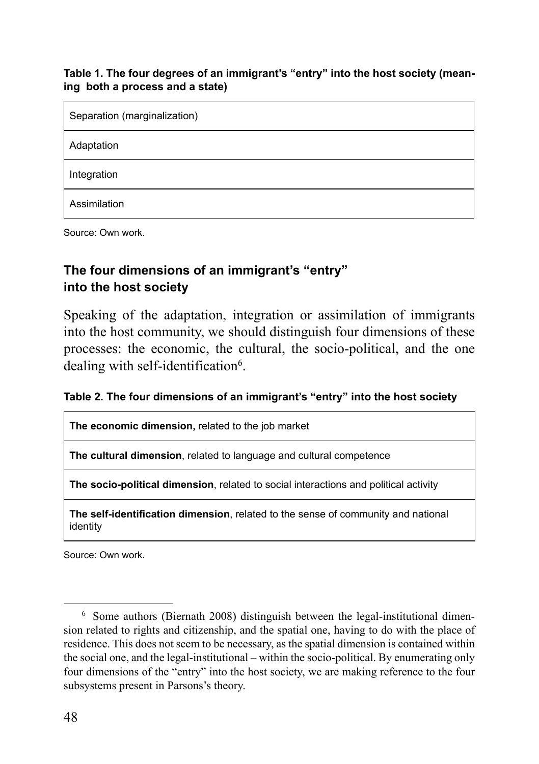#### **Table 1. The four degrees of an immigrant's "entry" into the host society (meaning both a process and a state)**

| Separation (marginalization) |
|------------------------------|
| Adaptation                   |
| Integration                  |
| Assimilation                 |

Source: Own work.

## **The four dimensions of an immigrant's "entry" into the host society**

Speaking of the adaptation, integration or assimilation of immigrants into the host community, we should distinguish four dimensions of these processes: the economic, the cultural, the socio-political, and the one dealing with self-identification<sup>6</sup>.

| Table 2. The four dimensions of an immigrant's "entry" into the host society |  |
|------------------------------------------------------------------------------|--|
|------------------------------------------------------------------------------|--|

**The economic dimension,** related to the job market

**The cultural dimension**, related to language and cultural competence

**The socio-political dimension**, related to social interactions and political activity

**The self-identification dimension**, related to the sense of community and national identity

Source: Own work.

<sup>6</sup> Some authors (Biernath 2008) distinguish between the legal-institutional dimension related to rights and citizenship, and the spatial one, having to do with the place of residence. This does not seem to be necessary, as the spatial dimension is contained within the social one, and the legal-institutional – within the socio-political. By enumerating only four dimensions of the "entry" into the host society, we are making reference to the four subsystems present in Parsons's theory.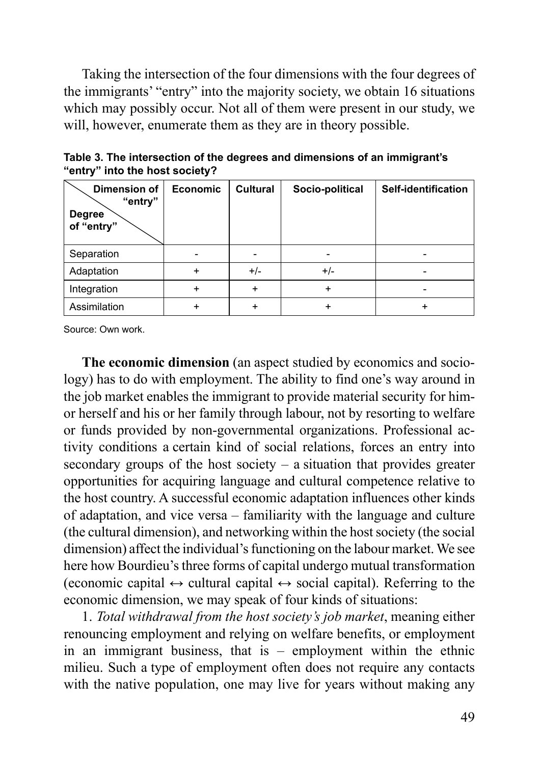Taking the intersection of the four dimensions with the four degrees of the immigrants' "entry" into the majority society, we obtain 16 situations which may possibly occur. Not all of them were present in our study, we will, however, enumerate them as they are in theory possible.

| Dimension of<br>"entry"<br><b>Degree</b><br>of "entry" | Economic  | Cultural | Socio-political | Self-identification |
|--------------------------------------------------------|-----------|----------|-----------------|---------------------|
| Separation                                             |           |          |                 |                     |
| Adaptation                                             | $\ddot{}$ | $+/-$    | $+/-$           |                     |
| Integration                                            | ٠         |          | +               |                     |
| Assimilation                                           |           |          |                 |                     |

**Table 3. The intersection of the degrees and dimensions of an immigrant's "entry" into the host society?**

Source: Own work.

**The economic dimension** (an aspect studied by economics and sociology) has to do with employment. The ability to find one's way around in the job market enables the immigrant to provide material security for himor herself and his or her family through labour, not by resorting to welfare or funds provided by non-governmental organizations. Professional activity conditions a certain kind of social relations, forces an entry into secondary groups of the host society – a situation that provides greater opportunities for acquiring language and cultural competence relative to the host country. A successful economic adaptation influences other kinds of adaptation, and vice versa – familiarity with the language and culture (the cultural dimension), and networking within the host society (the social dimension) affect the individual's functioning on the labour market. We see here how Bourdieu's three forms of capital undergo mutual transformation (economic capital  $\leftrightarrow$  cultural capital  $\leftrightarrow$  social capital). Referring to the economic dimension, we may speak of four kinds of situations:

1. *Total withdrawal from the host society's job market*, meaning either renouncing employment and relying on welfare benefits, or employment in an immigrant business, that is – employment within the ethnic milieu. Such a type of employment often does not require any contacts with the native population, one may live for years without making any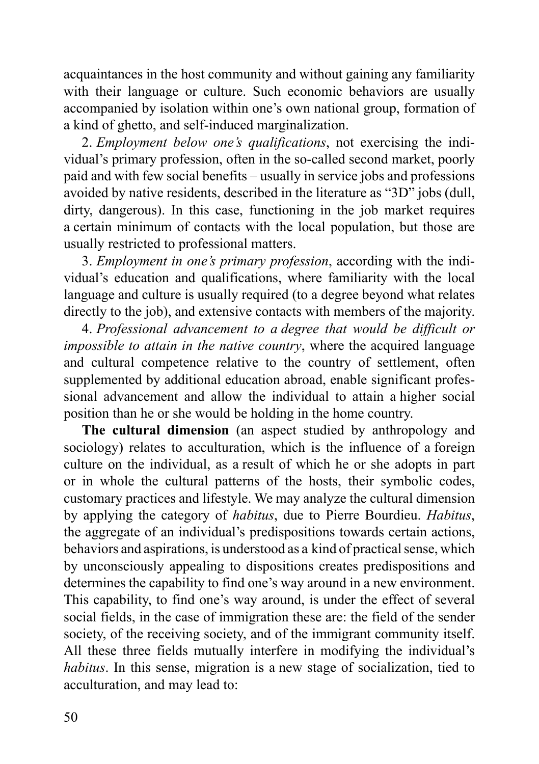acquaintances in the host community and without gaining any familiarity with their language or culture. Such economic behaviors are usually accompanied by isolation within one's own national group, formation of a kind of ghetto, and self-induced marginalization.

2. *Employment below one's qualifications*, not exercising the individual's primary profession, often in the so-called second market, poorly paid and with few social benefits – usually in service jobs and professions avoided by native residents, described in the literature as "3D" jobs (dull, dirty, dangerous). In this case, functioning in the job market requires a certain minimum of contacts with the local population, but those are usually restricted to professional matters.

3. *Employment in one's primary profession*, according with the individual's education and qualifications, where familiarity with the local language and culture is usually required (to a degree beyond what relates directly to the job), and extensive contacts with members of the majority.

4. *Professional advancement to a degree that would be difficult or impossible to attain in the native country*, where the acquired language and cultural competence relative to the country of settlement, often supplemented by additional education abroad, enable significant professional advancement and allow the individual to attain a higher social position than he or she would be holding in the home country.

**The cultural dimension** (an aspect studied by anthropology and sociology) relates to acculturation, which is the influence of a foreign culture on the individual, as a result of which he or she adopts in part or in whole the cultural patterns of the hosts, their symbolic codes, customary practices and lifestyle. We may analyze the cultural dimension by applying the category of *habitus*, due to Pierre Bourdieu. *Habitus*, the aggregate of an individual's predispositions towards certain actions, behaviors and aspirations, is understood as a kind of practical sense, which by unconsciously appealing to dispositions creates predispositions and determines the capability to find one's way around in a new environment. This capability, to find one's way around, is under the effect of several social fields, in the case of immigration these are: the field of the sender society, of the receiving society, and of the immigrant community itself. All these three fields mutually interfere in modifying the individual's *habitus*. In this sense, migration is a new stage of socialization, tied to acculturation, and may lead to: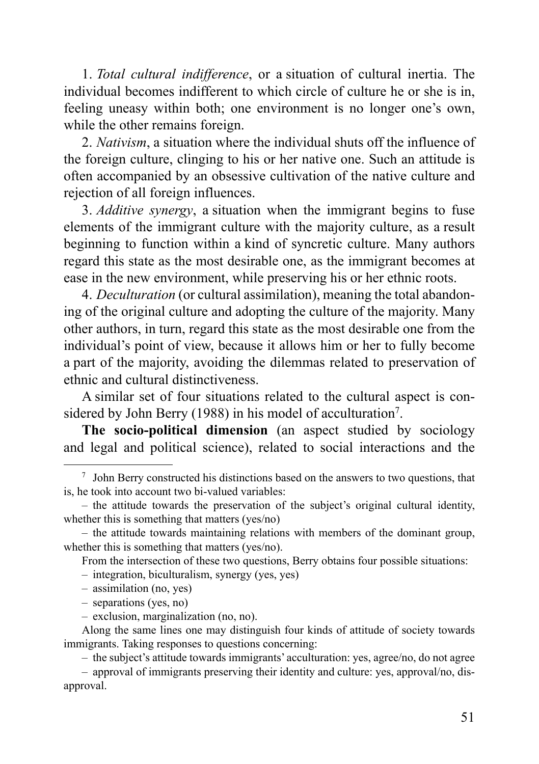1. *Total cultural indifference*, or a situation of cultural inertia. The individual becomes indifferent to which circle of culture he or she is in, feeling uneasy within both; one environment is no longer one's own, while the other remains foreign.

2. *Nativism*, a situation where the individual shuts off the influence of the foreign culture, clinging to his or her native one. Such an attitude is often accompanied by an obsessive cultivation of the native culture and rejection of all foreign influences.

3. *Additive synergy*, a situation when the immigrant begins to fuse elements of the immigrant culture with the majority culture, as a result beginning to function within a kind of syncretic culture. Many authors regard this state as the most desirable one, as the immigrant becomes at ease in the new environment, while preserving his or her ethnic roots.

4. *Deculturation* (or cultural assimilation), meaning the total abandoning of the original culture and adopting the culture of the majority. Many other authors, in turn, regard this state as the most desirable one from the individual's point of view, because it allows him or her to fully become a part of the majority, avoiding the dilemmas related to preservation of ethnic and cultural distinctiveness.

A similar set of four situations related to the cultural aspect is considered by John Berry (1988) in his model of acculturation<sup>7</sup>.

**The socio-political dimension** (an aspect studied by sociology and legal and political science), related to social interactions and the

From the intersection of these two questions, Berry obtains four possible situations:

– integration, biculturalism, synergy (yes, yes)

- assimilation (no, yes)
- separations (yes, no)

– the subject's attitude towards immigrants' acculturation: yes, agree/no, do not agree

<sup>7</sup> John Berry constructed his distinctions based on the answers to two questions, that is, he took into account two bi-valued variables:

<sup>–</sup> the attitude towards the preservation of the subject's original cultural identity, whether this is something that matters (yes/no)

<sup>–</sup> the attitude towards maintaining relations with members of the dominant group, whether this is something that matters (yes/no).

<sup>–</sup> exclusion, marginalization (no, no).

Along the same lines one may distinguish four kinds of attitude of society towards immigrants. Taking responses to questions concerning:

<sup>–</sup> approval of immigrants preserving their identity and culture: yes, approval/no, disapproval.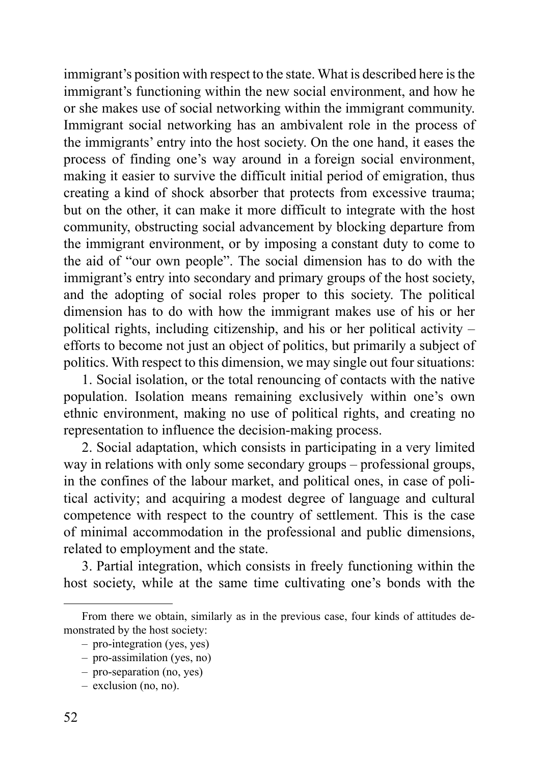immigrant's position with respect to the state. What is described here is the immigrant's functioning within the new social environment, and how he or she makes use of social networking within the immigrant community. Immigrant social networking has an ambivalent role in the process of the immigrants' entry into the host society. On the one hand, it eases the process of finding one's way around in a foreign social environment, making it easier to survive the difficult initial period of emigration, thus creating a kind of shock absorber that protects from excessive trauma; but on the other, it can make it more difficult to integrate with the host community, obstructing social advancement by blocking departure from the immigrant environment, or by imposing a constant duty to come to the aid of "our own people". The social dimension has to do with the immigrant's entry into secondary and primary groups of the host society, and the adopting of social roles proper to this society. The political dimension has to do with how the immigrant makes use of his or her political rights, including citizenship, and his or her political activity – efforts to become not just an object of politics, but primarily a subject of politics. With respect to this dimension, we may single out four situations:

1. Social isolation, or the total renouncing of contacts with the native population. Isolation means remaining exclusively within one's own ethnic environment, making no use of political rights, and creating no representation to influence the decision-making process.

2. Social adaptation, which consists in participating in a very limited way in relations with only some secondary groups – professional groups, in the confines of the labour market, and political ones, in case of political activity; and acquiring a modest degree of language and cultural competence with respect to the country of settlement. This is the case of minimal accommodation in the professional and public dimensions, related to employment and the state.

3. Partial integration, which consists in freely functioning within the host society, while at the same time cultivating one's bonds with the

From there we obtain, similarly as in the previous case, four kinds of attitudes demonstrated by the host society:

<sup>–</sup> pro-integration (yes, yes)

<sup>–</sup> pro-assimilation (yes, no)

<sup>–</sup> pro-separation (no, yes)

<sup>–</sup> exclusion (no, no).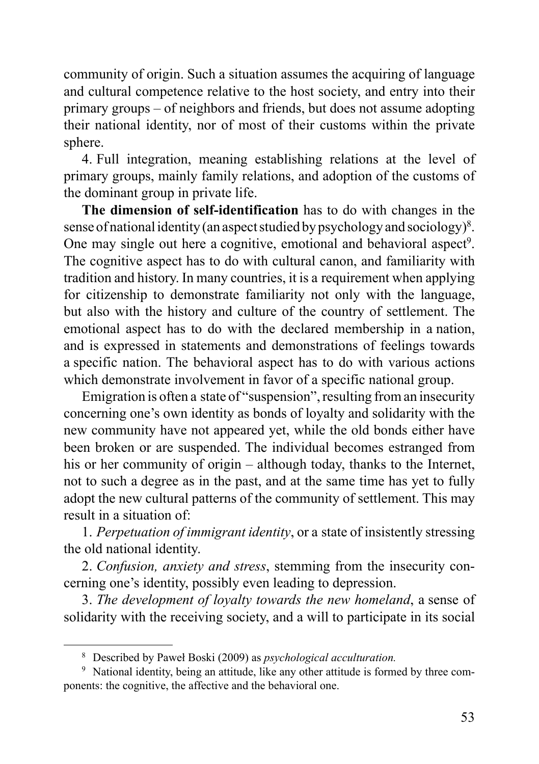community of origin. Such a situation assumes the acquiring of language and cultural competence relative to the host society, and entry into their primary groups – of neighbors and friends, but does not assume adopting their national identity, nor of most of their customs within the private sphere.

4. Full integration, meaning establishing relations at the level of primary groups, mainly family relations, and adoption of the customs of the dominant group in private life.

**The dimension of self-identification** has to do with changes in the sense of national identity (an aspect studied by psychology and sociology)<sup>8</sup>. One may single out here a cognitive, emotional and behavioral aspect<sup>9</sup>. The cognitive aspect has to do with cultural canon, and familiarity with tradition and history. In many countries, it is a requirement when applying for citizenship to demonstrate familiarity not only with the language, but also with the history and culture of the country of settlement. The emotional aspect has to do with the declared membership in a nation, and is expressed in statements and demonstrations of feelings towards a specific nation. The behavioral aspect has to do with various actions which demonstrate involvement in favor of a specific national group.

Emigration is often a state of "suspension", resulting from an insecurity concerning one's own identity as bonds of loyalty and solidarity with the new community have not appeared yet, while the old bonds either have been broken or are suspended. The individual becomes estranged from his or her community of origin – although today, thanks to the Internet, not to such a degree as in the past, and at the same time has yet to fully adopt the new cultural patterns of the community of settlement. This may result in a situation of:

1. *Perpetuation of immigrant identity*, or a state of insistently stressing the old national identity.

2. *Confusion, anxiety and stress*, stemming from the insecurity concerning one's identity, possibly even leading to depression.

3. *The development of loyalty towards the new homeland*, a sense of solidarity with the receiving society, and a will to participate in its social

<sup>8</sup> Described by Paweł Boski (2009) as *psychological acculturation.*

<sup>&</sup>lt;sup>9</sup> National identity, being an attitude, like any other attitude is formed by three components: the cognitive, the affective and the behavioral one.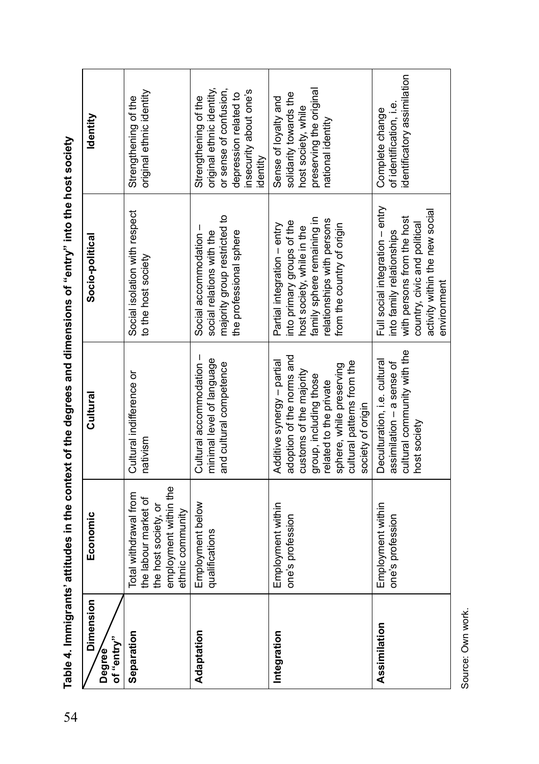| Dimension<br>of "entry"<br>Degree | Economic                                                                                                           | Cultural                                                                                                                                                                                                              | Socio-political                                                                                                                                                                   | ldentity                                                                                                                                   |
|-----------------------------------|--------------------------------------------------------------------------------------------------------------------|-----------------------------------------------------------------------------------------------------------------------------------------------------------------------------------------------------------------------|-----------------------------------------------------------------------------------------------------------------------------------------------------------------------------------|--------------------------------------------------------------------------------------------------------------------------------------------|
| Separation                        | employment within the<br>Total withdrawal from<br>the labour market of<br>the host society, or<br>ethnic community | Cultural indifference or<br>nativism                                                                                                                                                                                  | Social isolation with respect<br>to the host society                                                                                                                              | original ethnic identity<br>Strengthening of the                                                                                           |
| Adaptation                        | Employment below<br>qualifications                                                                                 | Cultural accommodation -<br>minimal level of language<br>and cultural competence                                                                                                                                      | majority group restricted to<br>Social accommodation -<br>the professional sphere<br>social relations with the                                                                    | or sense of confusion,<br>original ethnic identity,<br>insecurity about one's<br>depression related to<br>Strengthening of the<br>identity |
| Integration                       | Employment within<br>one's profession                                                                              | adoption of the norms and<br>Additive synergy - partial<br>cultural patterns from the<br>sphere, while preserving<br>customs of the majority<br>group, including those<br>related to the private<br>society of origin | family sphere remaining in<br>relationships with persons<br>into primary groups of the<br>from the country of origin<br>Partial integration - entry<br>host society, while in the | preserving the original<br>solidarity towards the<br>Sense of loyalty and<br>host society, while<br>national identity                      |
| Assimilation                      | Employment within<br>one's profession                                                                              | cultural community with the<br>Deculturation, i.e. cultural<br>assimilation - a sense of<br>host society                                                                                                              | Full social integration - entry<br>activity within the new social<br>with persons from the host<br>country, civic and political<br>into family relationships<br>environment       | identificatory assimilation<br>of identification, i.e.<br>Complete change                                                                  |

Table 4. Immigrants' attitudes in the context of the degrees and dimensions of "entry" into the host society 54**Table 4. Immigrants' attitudes in the context of the degrees and dimensions of "entry" into the host society**

Source: Own work. Source: Own work.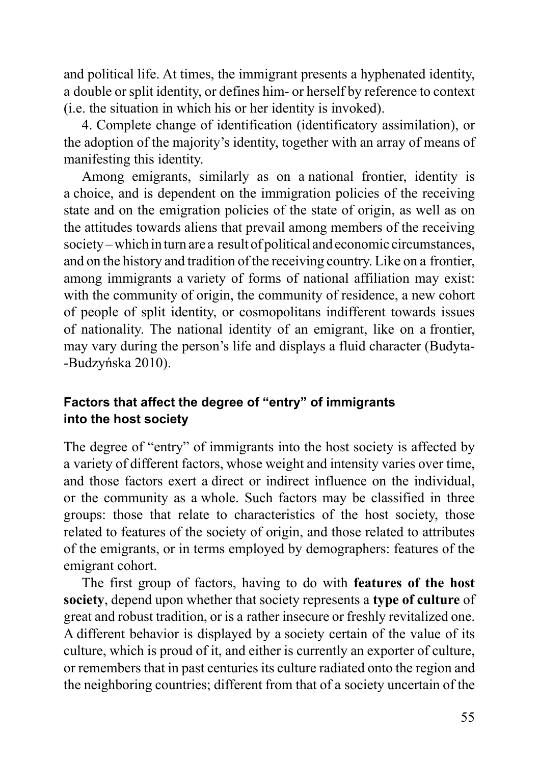and political life. At times, the immigrant presents a hyphenated identity, a double or split identity, or defines him- or herself by reference to context (i.e. the situation in which his or her identity is invoked).

4. Complete change of identification (identificatory assimilation), or the adoption of the majority's identity, together with an array of means of manifesting this identity.

Among emigrants, similarly as on a national frontier, identity is a choice, and is dependent on the immigration policies of the receiving state and on the emigration policies of the state of origin, as well as on the attitudes towards aliens that prevail among members of the receiving society – which in turn are a result of political and economic circumstances, and on the history and tradition of the receiving country. Like on a frontier, among immigrants a variety of forms of national affiliation may exist: with the community of origin, the community of residence, a new cohort of people of split identity, or cosmopolitans indifferent towards issues of nationality. The national identity of an emigrant, like on a frontier, may vary during the person's life and displays a fluid character (Budyta- -Budzyńska 2010).

## **Factors that affect the degree of "entry" of immigrants into the host society**

The degree of "entry" of immigrants into the host society is affected by a variety of different factors, whose weight and intensity varies over time, and those factors exert a direct or indirect influence on the individual, or the community as a whole. Such factors may be classified in three groups: those that relate to characteristics of the host society, those related to features of the society of origin, and those related to attributes of the emigrants, or in terms employed by demographers: features of the emigrant cohort.

The first group of factors, having to do with **features of the host society**, depend upon whether that society represents a **type of culture** of great and robust tradition, or is a rather insecure or freshly revitalized one. A different behavior is displayed by a society certain of the value of its culture, which is proud of it, and either is currently an exporter of culture, or remembers that in past centuries its culture radiated onto the region and the neighboring countries; different from that of a society uncertain of the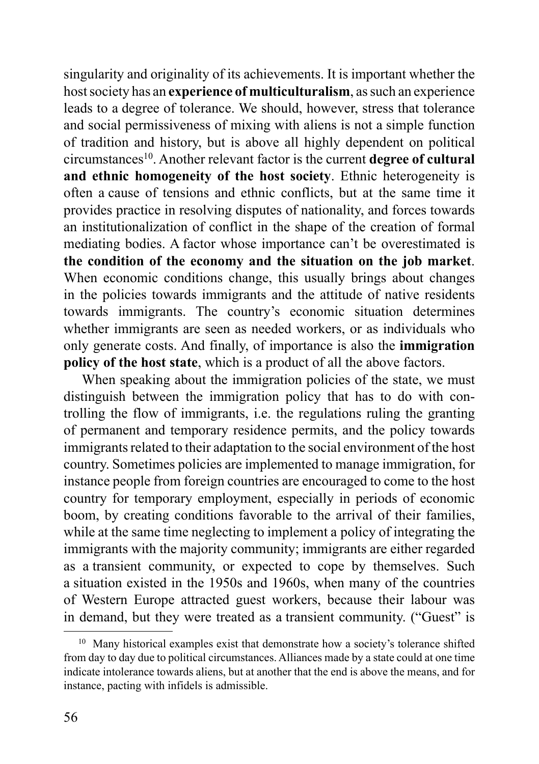singularity and originality of its achievements. It is important whether the host society has an **experience of multiculturalism**, as such an experience leads to a degree of tolerance. We should, however, stress that tolerance and social permissiveness of mixing with aliens is not a simple function of tradition and history, but is above all highly dependent on political circumstances10. Another relevant factor is the current **degree of cultural and ethnic homogeneity of the host society**. Ethnic heterogeneity is often a cause of tensions and ethnic conflicts, but at the same time it provides practice in resolving disputes of nationality, and forces towards an institutionalization of conflict in the shape of the creation of formal mediating bodies. A factor whose importance can't be overestimated is **the condition of the economy and the situation on the job market**. When economic conditions change, this usually brings about changes in the policies towards immigrants and the attitude of native residents towards immigrants. The country's economic situation determines whether immigrants are seen as needed workers, or as individuals who only generate costs. And finally, of importance is also the **immigration policy of the host state**, which is a product of all the above factors.

When speaking about the immigration policies of the state, we must distinguish between the immigration policy that has to do with controlling the flow of immigrants, i.e. the regulations ruling the granting of permanent and temporary residence permits, and the policy towards immigrants related to their adaptation to the social environment of the host country. Sometimes policies are implemented to manage immigration, for instance people from foreign countries are encouraged to come to the host country for temporary employment, especially in periods of economic boom, by creating conditions favorable to the arrival of their families, while at the same time neglecting to implement a policy of integrating the immigrants with the majority community; immigrants are either regarded as a transient community, or expected to cope by themselves. Such a situation existed in the 1950s and 1960s, when many of the countries of Western Europe attracted guest workers, because their labour was in demand, but they were treated as a transient community. ("Guest" is

<sup>&</sup>lt;sup>10</sup> Many historical examples exist that demonstrate how a society's tolerance shifted from day to day due to political circumstances. Alliances made by a state could at one time indicate intolerance towards aliens, but at another that the end is above the means, and for instance, pacting with infidels is admissible.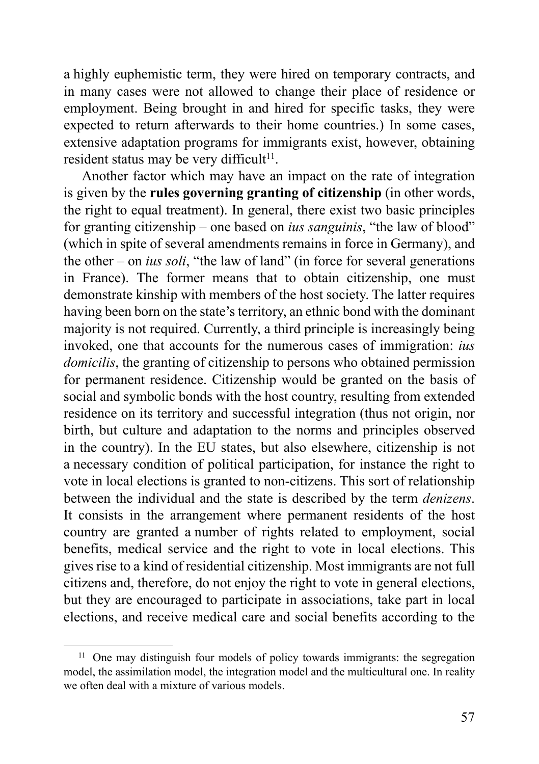a highly euphemistic term, they were hired on temporary contracts, and in many cases were not allowed to change their place of residence or employment. Being brought in and hired for specific tasks, they were expected to return afterwards to their home countries.) In some cases, extensive adaptation programs for immigrants exist, however, obtaining resident status may be very difficult<sup>11</sup>.

Another factor which may have an impact on the rate of integration is given by the **rules governing granting of citizenship** (in other words, the right to equal treatment). In general, there exist two basic principles for granting citizenship – one based on *ius sanguinis*, "the law of blood" (which in spite of several amendments remains in force in Germany), and the other – on *ius soli*, "the law of land" (in force for several generations in France). The former means that to obtain citizenship, one must demonstrate kinship with members of the host society. The latter requires having been born on the state's territory, an ethnic bond with the dominant majority is not required. Currently, a third principle is increasingly being invoked, one that accounts for the numerous cases of immigration: *ius domicilis*, the granting of citizenship to persons who obtained permission for permanent residence. Citizenship would be granted on the basis of social and symbolic bonds with the host country, resulting from extended residence on its territory and successful integration (thus not origin, nor birth, but culture and adaptation to the norms and principles observed in the country). In the EU states, but also elsewhere, citizenship is not a necessary condition of political participation, for instance the right to vote in local elections is granted to non-citizens. This sort of relationship between the individual and the state is described by the term *denizens*. It consists in the arrangement where permanent residents of the host country are granted a number of rights related to employment, social benefits, medical service and the right to vote in local elections. This gives rise to a kind of residential citizenship. Most immigrants are not full citizens and, therefore, do not enjoy the right to vote in general elections, but they are encouraged to participate in associations, take part in local elections, and receive medical care and social benefits according to the

<sup>&</sup>lt;sup>11</sup> One may distinguish four models of policy towards immigrants: the segregation model, the assimilation model, the integration model and the multicultural one. In reality we often deal with a mixture of various models.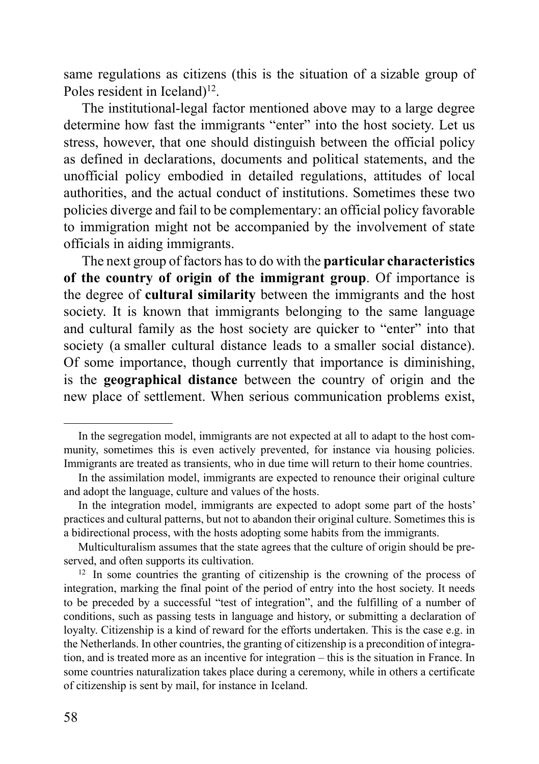same regulations as citizens (this is the situation of a sizable group of Poles resident in Iceland)<sup>12</sup>.

The institutional-legal factor mentioned above may to a large degree determine how fast the immigrants "enter" into the host society. Let us stress, however, that one should distinguish between the official policy as defined in declarations, documents and political statements, and the unofficial policy embodied in detailed regulations, attitudes of local authorities, and the actual conduct of institutions. Sometimes these two policies diverge and fail to be complementary: an official policy favorable to immigration might not be accompanied by the involvement of state officials in aiding immigrants.

The next group of factors has to do with the **particular characteristics of the country of origin of the immigrant group**. Of importance is the degree of **cultural similarity** between the immigrants and the host society. It is known that immigrants belonging to the same language and cultural family as the host society are quicker to "enter" into that society (a smaller cultural distance leads to a smaller social distance). Of some importance, though currently that importance is diminishing, is the **geographical distance** between the country of origin and the new place of settlement. When serious communication problems exist,

In the segregation model, immigrants are not expected at all to adapt to the host community, sometimes this is even actively prevented, for instance via housing policies. Immigrants are treated as transients, who in due time will return to their home countries.

In the assimilation model, immigrants are expected to renounce their original culture and adopt the language, culture and values of the hosts.

In the integration model, immigrants are expected to adopt some part of the hosts' practices and cultural patterns, but not to abandon their original culture. Sometimes this is a bidirectional process, with the hosts adopting some habits from the immigrants.

Multiculturalism assumes that the state agrees that the culture of origin should be preserved, and often supports its cultivation.

<sup>&</sup>lt;sup>12</sup> In some countries the granting of citizenship is the crowning of the process of integration, marking the final point of the period of entry into the host society. It needs to be preceded by a successful "test of integration", and the fulfilling of a number of conditions, such as passing tests in language and history, or submitting a declaration of loyalty. Citizenship is a kind of reward for the efforts undertaken. This is the case e.g. in the Netherlands. In other countries, the granting of citizenship is a precondition of integration, and is treated more as an incentive for integration – this is the situation in France. In some countries naturalization takes place during a ceremony, while in others a certificate of citizenship is sent by mail, for instance in Iceland.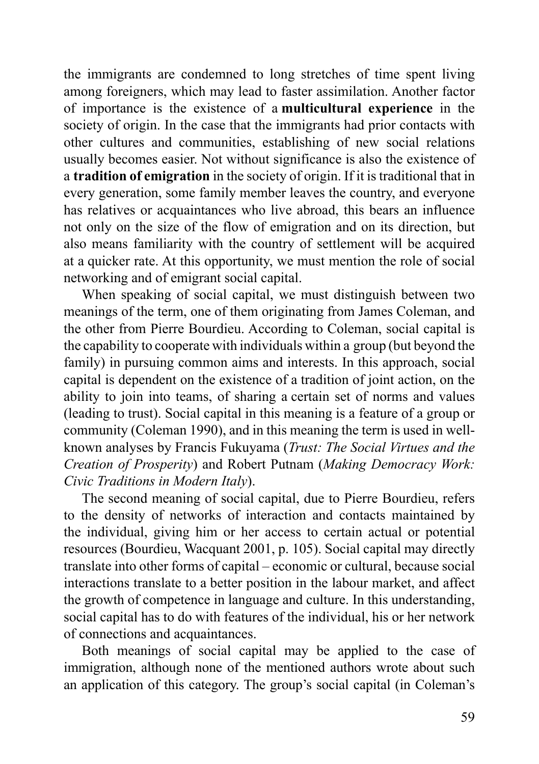the immigrants are condemned to long stretches of time spent living among foreigners, which may lead to faster assimilation. Another factor of importance is the existence of a **multicultural experience** in the society of origin. In the case that the immigrants had prior contacts with other cultures and communities, establishing of new social relations usually becomes easier. Not without significance is also the existence of a **tradition of emigration** in the society of origin. If it is traditional that in every generation, some family member leaves the country, and everyone has relatives or acquaintances who live abroad, this bears an influence not only on the size of the flow of emigration and on its direction, but also means familiarity with the country of settlement will be acquired at a quicker rate. At this opportunity, we must mention the role of social networking and of emigrant social capital.

When speaking of social capital, we must distinguish between two meanings of the term, one of them originating from James Coleman, and the other from Pierre Bourdieu. According to Coleman, social capital is the capability to cooperate with individuals within a group (but beyond the family) in pursuing common aims and interests. In this approach, social capital is dependent on the existence of a tradition of joint action, on the ability to join into teams, of sharing a certain set of norms and values (leading to trust). Social capital in this meaning is a feature of a group or community (Coleman 1990), and in this meaning the term is used in wellknown analyses by Francis Fukuyama (*Trust: The Social Virtues and the Creation of Prosperity*) and Robert Putnam (*Making Democracy Work: Civic Traditions in Modern Italy*).

The second meaning of social capital, due to Pierre Bourdieu, refers to the density of networks of interaction and contacts maintained by the individual, giving him or her access to certain actual or potential resources (Bourdieu, Wacquant 2001, p. 105). Social capital may directly translate into other forms of capital – economic or cultural, because social interactions translate to a better position in the labour market, and affect the growth of competence in language and culture. In this understanding, social capital has to do with features of the individual, his or her network of connections and acquaintances.

Both meanings of social capital may be applied to the case of immigration, although none of the mentioned authors wrote about such an application of this category. The group's social capital (in Coleman's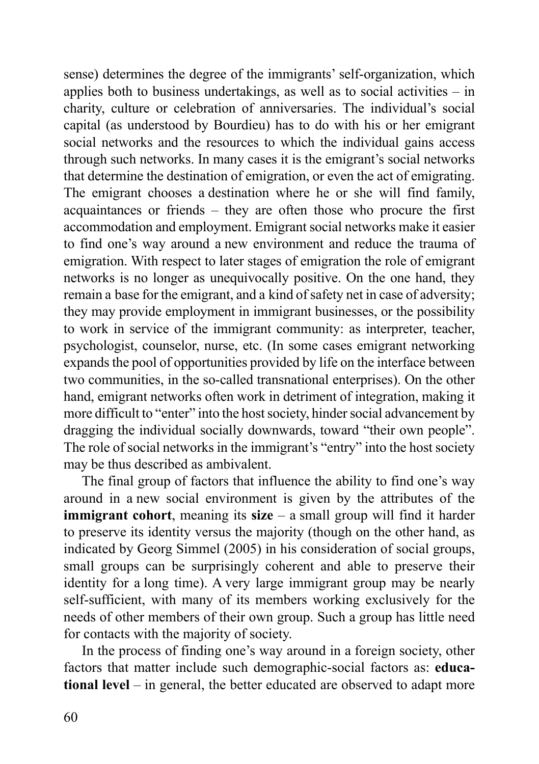sense) determines the degree of the immigrants' self-organization, which applies both to business undertakings, as well as to social activities  $-$  in charity, culture or celebration of anniversaries. The individual's social capital (as understood by Bourdieu) has to do with his or her emigrant social networks and the resources to which the individual gains access through such networks. In many cases it is the emigrant's social networks that determine the destination of emigration, or even the act of emigrating. The emigrant chooses a destination where he or she will find family, acquaintances or friends – they are often those who procure the first accommodation and employment. Emigrant social networks make it easier to find one's way around a new environment and reduce the trauma of emigration. With respect to later stages of emigration the role of emigrant networks is no longer as unequivocally positive. On the one hand, they remain a base for the emigrant, and a kind of safety net in case of adversity; they may provide employment in immigrant businesses, or the possibility to work in service of the immigrant community: as interpreter, teacher, psychologist, counselor, nurse, etc. (In some cases emigrant networking expands the pool of opportunities provided by life on the interface between two communities, in the so-called transnational enterprises). On the other hand, emigrant networks often work in detriment of integration, making it more difficult to "enter" into the host society, hinder social advancement by dragging the individual socially downwards, toward "their own people". The role of social networks in the immigrant's "entry" into the host society may be thus described as ambivalent.

The final group of factors that influence the ability to find one's way around in a new social environment is given by the attributes of the **immigrant cohort**, meaning its **size** – a small group will find it harder to preserve its identity versus the majority (though on the other hand, as indicated by Georg Simmel (2005) in his consideration of social groups, small groups can be surprisingly coherent and able to preserve their identity for a long time). A very large immigrant group may be nearly self-sufficient, with many of its members working exclusively for the needs of other members of their own group. Such a group has little need for contacts with the majority of society.

In the process of finding one's way around in a foreign society, other factors that matter include such demographic-social factors as: **educational level** – in general, the better educated are observed to adapt more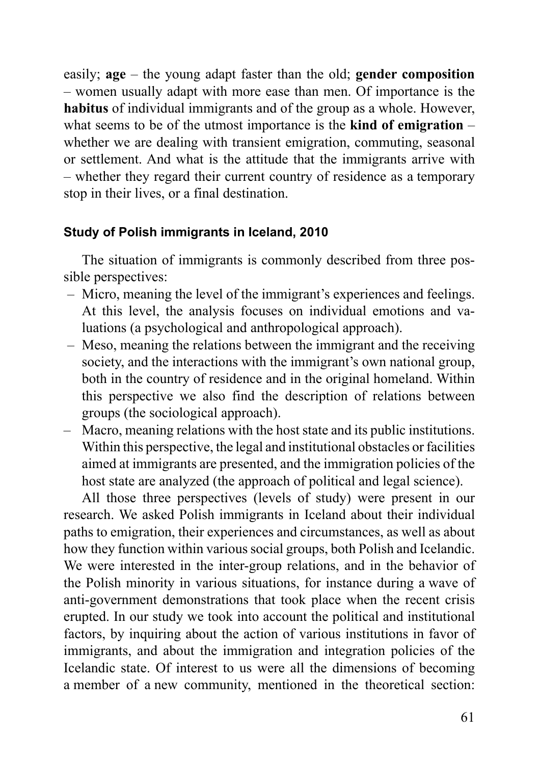easily; **age** – the young adapt faster than the old; **gender composition** – women usually adapt with more ease than men. Of importance is the **habitus** of individual immigrants and of the group as a whole. However, what seems to be of the utmost importance is the **kind of emigration** – whether we are dealing with transient emigration, commuting, seasonal or settlement. And what is the attitude that the immigrants arrive with – whether they regard their current country of residence as a temporary stop in their lives, or a final destination.

### **Study of Polish immigrants in Iceland, 2010**

The situation of immigrants is commonly described from three possible perspectives:

- Micro, meaning the level of the immigrant's experiences and feelings. At this level, the analysis focuses on individual emotions and valuations (a psychological and anthropological approach).
- Meso, meaning the relations between the immigrant and the receiving society, and the interactions with the immigrant's own national group, both in the country of residence and in the original homeland. Within this perspective we also find the description of relations between groups (the sociological approach).
- Macro, meaning relations with the host state and its public institutions. Within this perspective, the legal and institutional obstacles or facilities aimed at immigrants are presented, and the immigration policies of the host state are analyzed (the approach of political and legal science).

All those three perspectives (levels of study) were present in our research. We asked Polish immigrants in Iceland about their individual paths to emigration, their experiences and circumstances, as well as about how they function within various social groups, both Polish and Icelandic. We were interested in the inter-group relations, and in the behavior of the Polish minority in various situations, for instance during a wave of anti-government demonstrations that took place when the recent crisis erupted. In our study we took into account the political and institutional factors, by inquiring about the action of various institutions in favor of immigrants, and about the immigration and integration policies of the Icelandic state. Of interest to us were all the dimensions of becoming a member of a new community, mentioned in the theoretical section: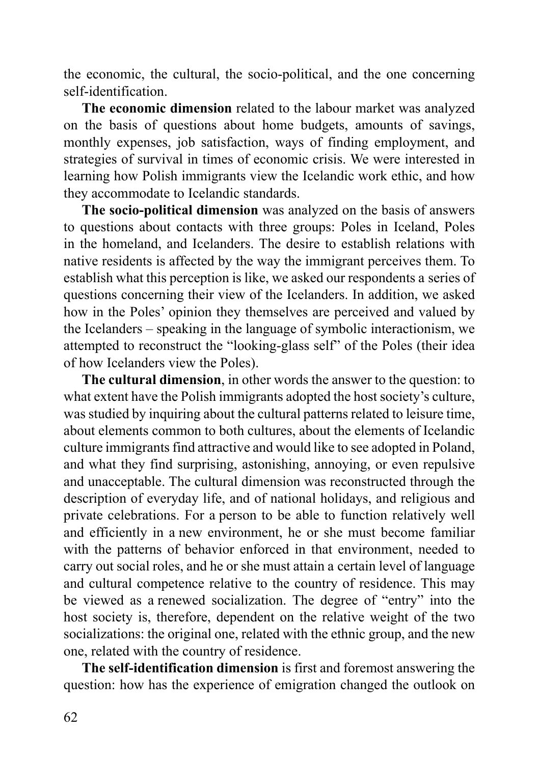the economic, the cultural, the socio-political, and the one concerning self-identification.

**The economic dimension** related to the labour market was analyzed on the basis of questions about home budgets, amounts of savings, monthly expenses, job satisfaction, ways of finding employment, and strategies of survival in times of economic crisis. We were interested in learning how Polish immigrants view the Icelandic work ethic, and how they accommodate to Icelandic standards.

**The socio-political dimension** was analyzed on the basis of answers to questions about contacts with three groups: Poles in Iceland, Poles in the homeland, and Icelanders. The desire to establish relations with native residents is affected by the way the immigrant perceives them. To establish what this perception is like, we asked our respondents a series of questions concerning their view of the Icelanders. In addition, we asked how in the Poles' opinion they themselves are perceived and valued by the Icelanders – speaking in the language of symbolic interactionism, we attempted to reconstruct the "looking-glass self" of the Poles (their idea of how Icelanders view the Poles).

**The cultural dimension**, in other words the answer to the question: to what extent have the Polish immigrants adopted the host society's culture, was studied by inquiring about the cultural patterns related to leisure time, about elements common to both cultures, about the elements of Icelandic culture immigrants find attractive and would like to see adopted in Poland, and what they find surprising, astonishing, annoying, or even repulsive and unacceptable. The cultural dimension was reconstructed through the description of everyday life, and of national holidays, and religious and private celebrations. For a person to be able to function relatively well and efficiently in a new environment, he or she must become familiar with the patterns of behavior enforced in that environment, needed to carry out social roles, and he or she must attain a certain level of language and cultural competence relative to the country of residence. This may be viewed as a renewed socialization. The degree of "entry" into the host society is, therefore, dependent on the relative weight of the two socializations: the original one, related with the ethnic group, and the new one, related with the country of residence.

**The self-identification dimension** is first and foremost answering the question: how has the experience of emigration changed the outlook on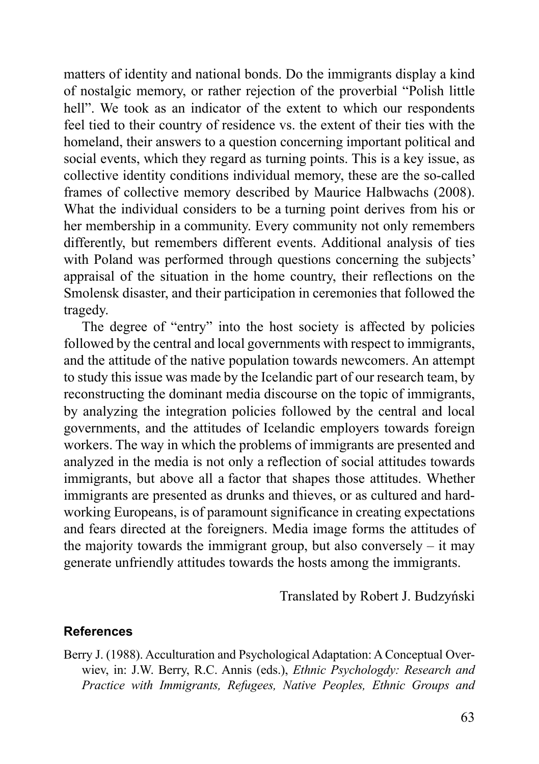matters of identity and national bonds. Do the immigrants display a kind of nostalgic memory, or rather rejection of the proverbial "Polish little hell". We took as an indicator of the extent to which our respondents feel tied to their country of residence vs. the extent of their ties with the homeland, their answers to a question concerning important political and social events, which they regard as turning points. This is a key issue, as collective identity conditions individual memory, these are the so-called frames of collective memory described by Maurice Halbwachs (2008). What the individual considers to be a turning point derives from his or her membership in a community. Every community not only remembers differently, but remembers different events. Additional analysis of ties with Poland was performed through questions concerning the subjects' appraisal of the situation in the home country, their reflections on the Smolensk disaster, and their participation in ceremonies that followed the tragedy.

The degree of "entry" into the host society is affected by policies followed by the central and local governments with respect to immigrants, and the attitude of the native population towards newcomers. An attempt to study this issue was made by the Icelandic part of our research team, by reconstructing the dominant media discourse on the topic of immigrants, by analyzing the integration policies followed by the central and local governments, and the attitudes of Icelandic employers towards foreign workers. The way in which the problems of immigrants are presented and analyzed in the media is not only a reflection of social attitudes towards immigrants, but above all a factor that shapes those attitudes. Whether immigrants are presented as drunks and thieves, or as cultured and hardworking Europeans, is of paramount significance in creating expectations and fears directed at the foreigners. Media image forms the attitudes of the majority towards the immigrant group, but also conversely  $-$  it may generate unfriendly attitudes towards the hosts among the immigrants.

Translated by Robert J. Budzyński

### **References**

Berry J. (1988). Acculturation and Psychological Adaptation: A Conceptual Overwiev, in: J.W. Berry, R.C. Annis (eds.), *Ethnic Psychologdy: Research and Practice with Immigrants, Refugees, Native Peoples, Ethnic Groups and*